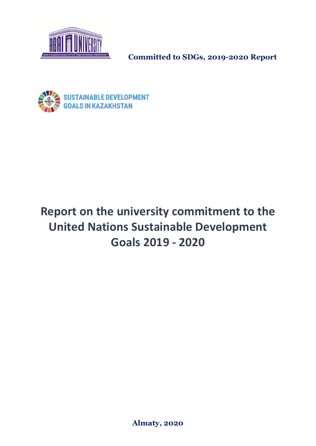



# **Report on the university commitment to the United Nations Sustainable Development Goals 2019 - 2020**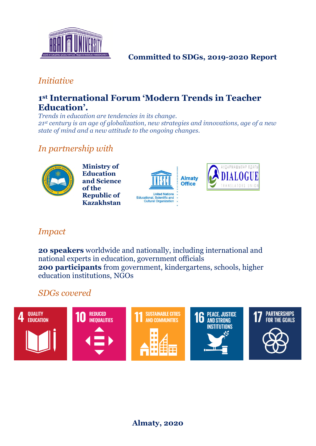

## *Initiative*

## **1 st International Forum 'Modern Trends in Teacher Education'.**

*Trends in education are tendencies in its change. 21st century is an age of globalization, new strategies and innovations, age of a new state of mind and a new attitude to the ongoing changes.*

## *In partnership with*



**Ministry of Education and Science of the Republic of Kazakhstan**





## *Impact*

**20 speakers** worldwide and nationally, including international and national experts in education, government officials **200 participants** from government, kindergartens, schools, higher education institutions, NGOs

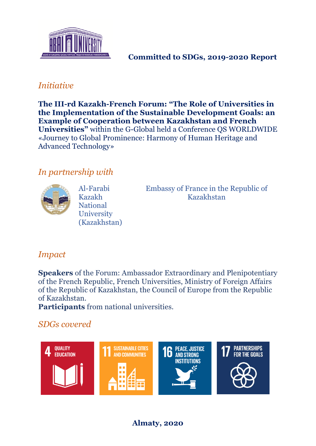

## *Initiative*

**Тhe III-rd Kazakh-French Forum: "The Role of Universities in the Implementation of the Sustainable Development Goals: an Example of Cooperation between Kazakhstan and French Universities"** within the G-Global held a Conference QS WORLDWIDE «Journey to Global Prominence: Harmony of Human Heritage and Advanced Technology»

## *In partnership with*



Al-Farabi Kazakh National **University** (Kazakhstan) Embassy of France in the Republic of Kazakhstan

## *Impact*

**Speakers** of the Forum: Ambassador Extraordinary and Plenipotentiary of the French Republic, French Universities, Ministry of Foreign Affairs of the Republic of Kazakhstan, the Council of Europe from the Republic of Kazakhstan.

**Participants** from national universities.

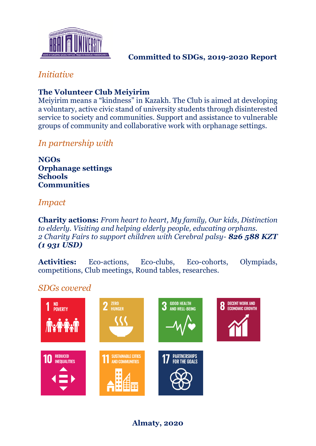

## *Initiative*

## **The Volunteer Club Meiyirim**

Meiyirim means a "kindness" in Kazakh. The Club is aimed at developing a voluntary, active civic stand of university students through disinterested service to society and communities. Support and assistance to vulnerable groups of community and collaborative work with orphanage settings.

## *In partnership with*

**NGOs Orphanage settings Schools Communities**

## *Impact*

**Charity actions:** *From heart to heart, My family, Our kids, Distinction to elderly. Visiting and helping elderly people, educating orphans. 2 Charity Fairs to support children with Cerebral palsy- 826 588 KZT (1 931 USD)*

Activities: Eco-actions, Eco-clubs, Eco-cohorts, Olympiads, competitions, Club meetings, Round tables, researches.

## *SDGs covered*

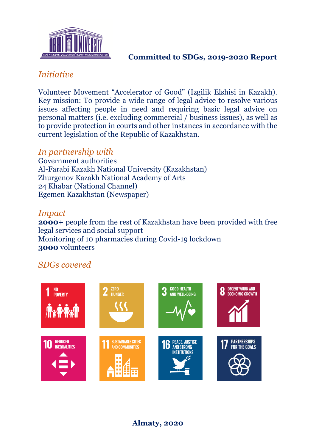

## *Initiative*

Volunteer Movement "Accelerator of Good" (Izgilik Elshisi in Kazakh). Key mission: To provide a wide range of legal advice to resolve various issues affecting people in need and requiring basic legal advice on personal matters (i.e. excluding commercial / business issues), as well as to provide protection in courts and other instances in accordance with the current legislation of the Republic of Kazakhstan.

## *In partnership with*

Government authorities Al-Farabi Kazakh National University (Kazakhstan) Zhurgenov Kazakh National Academy of Arts 24 Khabar (National Channel) Egemen Kazakhstan (Newspaper)

### *Impact*

**2000+** people from the rest of Kazakhstan have been provided with free legal services and social support Monitoring of 10 pharmacies during Covid-19 lockdown **3000** volunteers

## *SDGs covered*

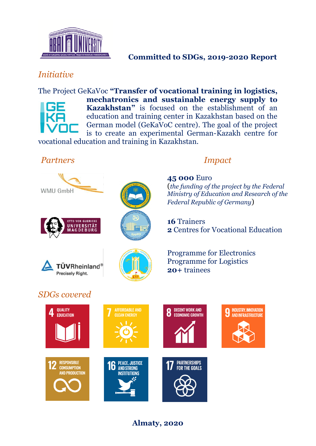

## *Initiative*

The Project GeKaVoc **"Transfer of vocational training in logistics, mechatronics and sustainable energy supply to Kazakhstan"** is focused on the establishment of an education and training center in Kazakhstan based on the German model (GeKaVoC centre). The goal of the project is to create an experimental German-Kazakh centre for

vocational education and training in Kazakhstan.

#### *Partners Impact*









**45 000** Euro (*the funding of the project by the Federal Ministry of Education and Research of the Federal Republic of Germany*)

**16** Trainers **2** Centres for Vocational Education

Programme for Electronics Programme for Logistics **20+** trainees













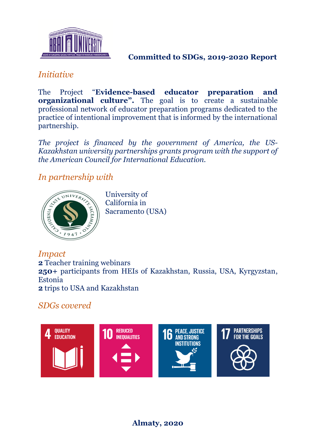

## *Initiative*

The Project "**Evidence-based educator preparation and organizational culture".** The goal is to create a sustainable professional network of educator preparation programs dedicated to the practice of intentional improvement that is informed by the international partnership.

*The project is financed by the government of America, the US-Kazakhstan university partnerships grants program with the support of the American Council for International Education.*

## *In partnership with*



University of California in Sacramento (USA)

*Impact* **2** Teacher training webinars **250+** participants from HEIs of Kazakhstan, Russia, USA, Kyrgyzstan, Estonia **2** trips to USA and Kazakhstan

## *SDGs covered*

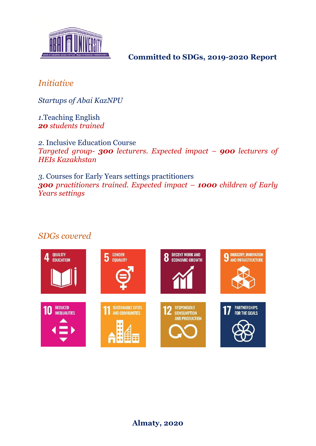

## *Initiative*

*Startups of Abai KazNPU*

*1.*Teaching English *20 students trained*

*2.* Inclusive Education Course *Targeted group- 300 lecturers. Expected impact – 900 lecturers of HEIs Kazakhstan*

*3.* Courses for Early Years settings practitioners *300 practitioners trained. Expected impact – 1000 children of Early Years settings*

#### *SDGs covered*

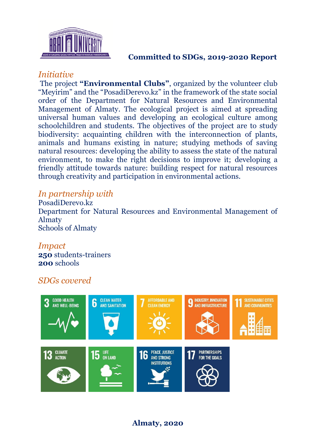

#### *Initiative*

The project **"Environmental Clubs"**, organized by the volunteer club "Meyirim" and the "PosadiDerevo.kz" in the framework of the state social order of the Department for Natural Resources and Environmental Management of Almaty. The ecological project is aimed at spreading universal human values and developing an ecological culture among schoolchildren and students. The objectives of the project are to study biodiversity: acquainting children with the interconnection of plants, animals and humans existing in nature; studying methods of saving natural resources: developing the ability to assess the state of the natural environment, to make the right decisions to improve it; developing a friendly attitude towards nature: building respect for natural resources through creativity and participation in environmental actions.

#### *In partnership with*

PosadiDerevo.kz Department for Natural Resources and Environmental Management of Almaty Schools of Almaty

## *Impact*

**250** students-trainers **200** schools

## *SDGs covered*

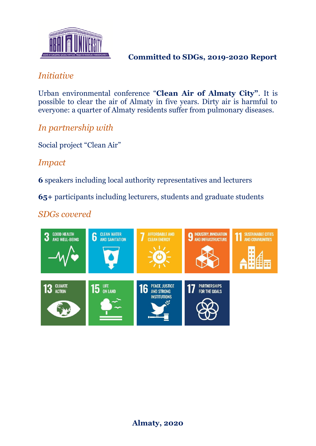

## *Initiative*

Urban environmental conference "**Clean Air of Almaty City"**. It is possible to clear the air of Almaty in five years. Dirty air is harmful to everyone: a quarter of Almaty residents suffer from pulmonary diseases.

*In partnership with*

Social project "Clean Air"

*Impact*

**6** speakers including local authority representatives and lecturers

**65+** participants including lecturers, students and graduate students

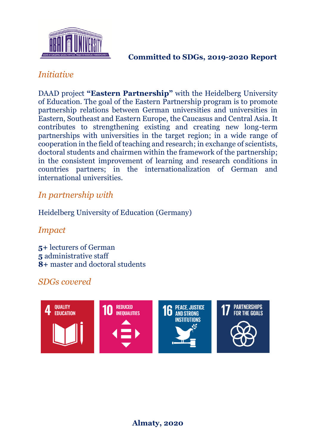

## *Initiative*

DAAD project **"Eastern Partnership"** with the Heidelberg University of Education. The goal of the Eastern Partnership program is to promote partnership relations between German universities and universities in Eastern, Southeast and Eastern Europe, the Caucasus and Central Asia. It contributes to strengthening existing and creating new long-term partnerships with universities in the target region; in a wide range of cooperation in the field of teaching and research; in exchange of scientists, doctoral students and chairmen within the framework of the partnership; in the consistent improvement of learning and research conditions in countries partners; in the internationalization of German and international universities.

## *In partnership with*

#### Heidelberg University of Education (Germany)

## *Impact*

**5+** lecturers of German **5** administrative staff **8+** master and doctoral students

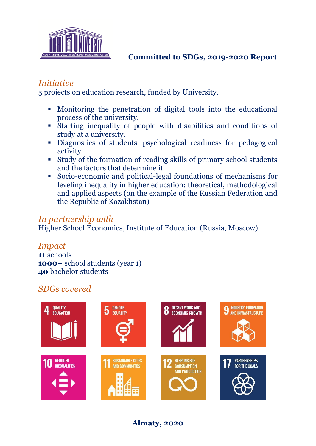

## *Initiative*

5 projects on education research, funded by University.

- Monitoring the penetration of digital tools into the educational process of the university.
- Starting inequality of people with disabilities and conditions of study at a university.
- Diagnostics of students' psychological readiness for pedagogical activity.
- Study of the formation of reading skills of primary school students and the factors that determine it
- Socio-economic and political-legal foundations of mechanisms for leveling inequality in higher education: theoretical, methodological and applied aspects (on the example of the Russian Federation and the Republic of Kazakhstan)

## *In partnership with*

Higher School Economics, Institute of Education (Russia, Moscow)

#### *Impact*

**11** schools **1000+** school students (year 1) **40** bachelor students

## *SDGs covered*

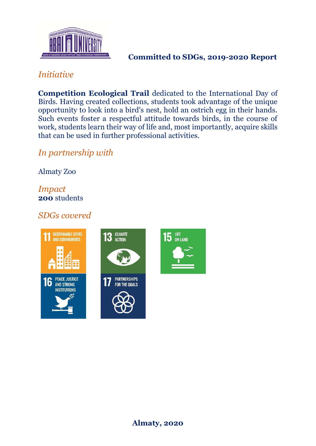

## *Initiative*

**Competition Ecological Trail** dedicated to the International Day of Birds. Having created collections, students took advantage of the unique opportunity to look into a bird's nest, hold an ostrich egg in their hands. Such events foster a respectful attitude towards birds, in the course of work, students learn their way of life and, most importantly, acquire skills that can be used in further professional activities.

## *In partnership with*

Almaty Zoo

#### *Impact* **200** students

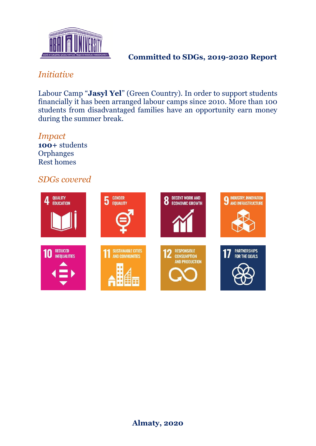

## *Initiative*

Labour Camp "**Jasyl Yel**" (Green Country). In order to support students financially it has been arranged labour camps since 2010. More than 100 students from disadvantaged families have an opportunity earn money during the summer break.

*Impact* **100+** students **Orphanges** Rest homes